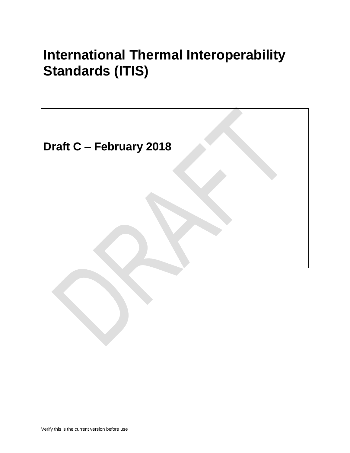# **International Thermal Interoperability Standards (ITIS)**

**Draft C – February 2018**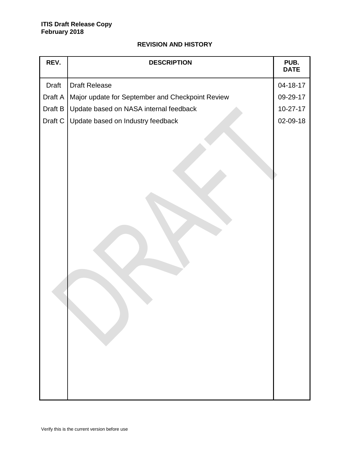# **REVISION AND HISTORY**

| REV.         | <b>DESCRIPTION</b>                               | PUB.<br><b>DATE</b> |
|--------------|--------------------------------------------------|---------------------|
| <b>Draft</b> | <b>Draft Release</b>                             | 04-18-17            |
| Draft A      | Major update for September and Checkpoint Review | 09-29-17            |
| Draft B      | Update based on NASA internal feedback           | $10 - 27 - 17$      |
| Draft C      | Update based on Industry feedback                | 02-09-18            |
|              |                                                  |                     |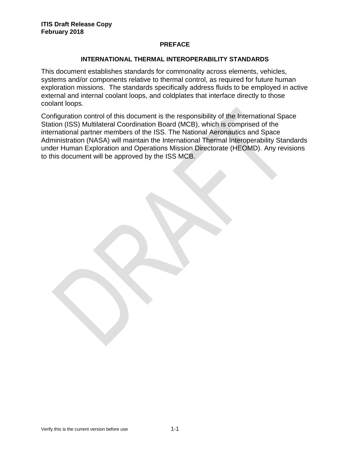## **PREFACE**

## **INTERNATIONAL THERMAL INTEROPERABILITY STANDARDS**

This document establishes standards for commonality across elements, vehicles, systems and/or components relative to thermal control, as required for future human exploration missions. The standards specifically address fluids to be employed in active external and internal coolant loops, and coldplates that interface directly to those coolant loops.

Configuration control of this document is the responsibility of the International Space Station (ISS) Multilateral Coordination Board (MCB), which is comprised of the international partner members of the ISS. The National Aeronautics and Space Administration (NASA) will maintain the International Thermal Interoperability Standards under Human Exploration and Operations Mission Directorate (HEOMD). Any revisions to this document will be approved by the ISS MCB.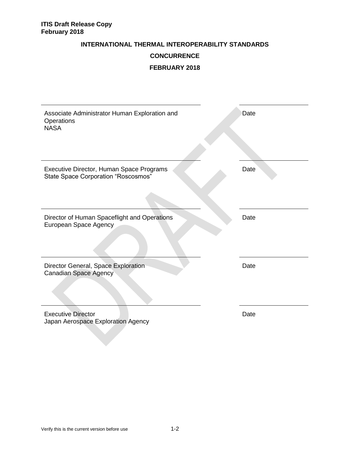## **INTERNATIONAL THERMAL INTEROPERABILITY STANDARDS**

# **CONCURRENCE**

# **FEBRUARY 2018**

| Associate Administrator Human Exploration and<br>Operations<br><b>NASA</b>             | Date |
|----------------------------------------------------------------------------------------|------|
| Executive Director, Human Space Programs<br><b>State Space Corporation "Roscosmos"</b> | Date |
| Director of Human Spaceflight and Operations<br>European Space Agency                  | Date |
| Director General, Space Exploration<br><b>Canadian Space Agency</b>                    | Date |
| <b>Executive Director</b><br>Japan Aerospace Exploration Agency                        | Date |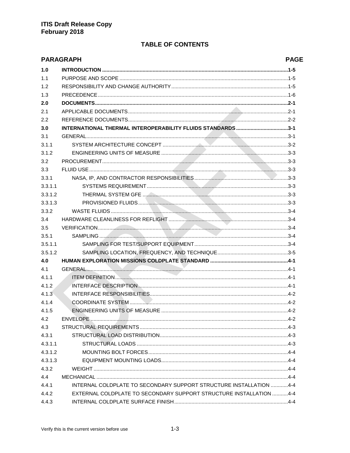# **TABLE OF CONTENTS**

|         | <b>PARAGRAPH</b>                                                   | <b>PAGE</b> |
|---------|--------------------------------------------------------------------|-------------|
| 1.0     |                                                                    |             |
| 1.1     |                                                                    |             |
| 1.2     |                                                                    |             |
| 1.3     |                                                                    |             |
| 2.0     |                                                                    |             |
| 2.1     |                                                                    |             |
| 2.2     |                                                                    |             |
| 3.0     | INTERNATIONAL THERMAL INTEROPERABILITY FLUIDS STANDARDS3-1         |             |
| 3.1     |                                                                    |             |
| 3.1.1   |                                                                    |             |
| 3.1.2   |                                                                    |             |
| 3.2     |                                                                    |             |
| 3.3     |                                                                    |             |
| 3.3.1   |                                                                    |             |
| 3.3.1.1 |                                                                    |             |
| 3.3.1.2 |                                                                    |             |
| 3.3.1.3 |                                                                    |             |
| 3.3.2   |                                                                    |             |
| 3.4     |                                                                    |             |
| 3.5     |                                                                    |             |
| 3.5.1   |                                                                    |             |
| 3.5.1.1 |                                                                    |             |
| 3.5.1.2 |                                                                    |             |
| 4.0     |                                                                    |             |
| 4.1     |                                                                    |             |
| 4.1.1   |                                                                    |             |
| 4.1.2   |                                                                    |             |
| 4.1.3   |                                                                    |             |
| 4.1.4   |                                                                    |             |
| 4.1.5   |                                                                    |             |
| 4.2     |                                                                    |             |
| 4.3     |                                                                    |             |
| 4.3.1   |                                                                    |             |
| 4.3.1.1 |                                                                    |             |
| 4.3.1.2 |                                                                    |             |
| 4.3.1.3 |                                                                    |             |
| 4.3.2   |                                                                    |             |
| 4.4     |                                                                    |             |
| 4.4.1   | INTERNAL COLDPLATE TO SECONDARY SUPPORT STRUCTURE INSTALLATION 4-4 |             |
| 4.4.2   | EXTERNAL COLDPLATE TO SECONDARY SUPPORT STRUCTURE INSTALLATION 4-4 |             |
| 4.4.3   |                                                                    |             |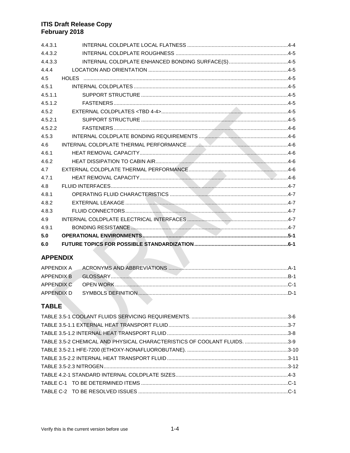| 4.4.3.1 |  |
|---------|--|
| 4.4.3.2 |  |
| 4.4.3.3 |  |
| 4.4.4   |  |
| 4.5     |  |
| 4.5.1   |  |
| 4.5.1.1 |  |
| 4.5.1.2 |  |
| 4.5.2   |  |
| 4.5.2.1 |  |
| 4.5.2.2 |  |
| 4.5.3   |  |
| 4.6     |  |
| 4.6.1   |  |
| 4.6.2   |  |
| 4.7     |  |
| 4.7.1   |  |
| 4.8     |  |
| 4.8.1   |  |
| 4.8.2   |  |
| 4.8.3   |  |
| 4.9     |  |
| 4.9.1   |  |
| 5.0     |  |
| 6.0     |  |
|         |  |

# **APPENDIX**

# **TABLE**

| TABLE 3.5-2 CHEMICAL AND PHYSICAL CHARACTERISTICS OF COOLANT FLUIDS. 3-9 |  |
|--------------------------------------------------------------------------|--|
|                                                                          |  |
|                                                                          |  |
|                                                                          |  |
|                                                                          |  |
|                                                                          |  |
|                                                                          |  |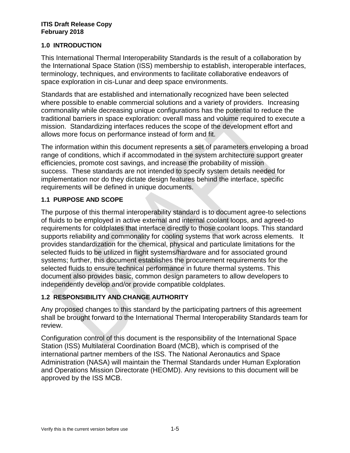# **1.0 INTRODUCTION**

This International Thermal Interoperability Standards is the result of a collaboration by the International Space Station (ISS) membership to establish, interoperable interfaces, terminology, techniques, and environments to facilitate collaborative endeavors of space exploration in cis-Lunar and deep space environments.

Standards that are established and internationally recognized have been selected where possible to enable commercial solutions and a variety of providers. Increasing commonality while decreasing unique configurations has the potential to reduce the traditional barriers in space exploration: overall mass and volume required to execute a mission. Standardizing interfaces reduces the scope of the development effort and allows more focus on performance instead of form and fit.

The information within this document represents a set of parameters enveloping a broad range of conditions, which if accommodated in the system architecture support greater efficiencies, promote cost savings, and increase the probability of mission success. These standards are not intended to specify system details needed for implementation nor do they dictate design features behind the interface, specific requirements will be defined in unique documents.

# **1.1 PURPOSE AND SCOPE**

The purpose of this thermal interoperability standard is to document agree-to selections of fluids to be employed in active external and internal coolant loops, and agreed-to requirements for coldplates that interface directly to those coolant loops. This standard supports reliability and commonality for cooling systems that work across elements. It provides standardization for the chemical, physical and particulate limitations for the selected fluids to be utilized in flight systems/hardware and for associated ground systems; further, this document establishes the procurement requirements for the selected fluids to ensure technical performance in future thermal systems. This document also provides basic, common design parameters to allow developers to independently develop and/or provide compatible coldplates.

# **1.2 RESPONSIBILITY AND CHANGE AUTHORITY**

Any proposed changes to this standard by the participating partners of this agreement shall be brought forward to the International Thermal Interoperability Standards team for review.

Configuration control of this document is the responsibility of the International Space Station (ISS) Multilateral Coordination Board (MCB), which is comprised of the international partner members of the ISS. The National Aeronautics and Space Administration (NASA) will maintain the Thermal Standards under Human Exploration and Operations Mission Directorate (HEOMD). Any revisions to this document will be approved by the ISS MCB.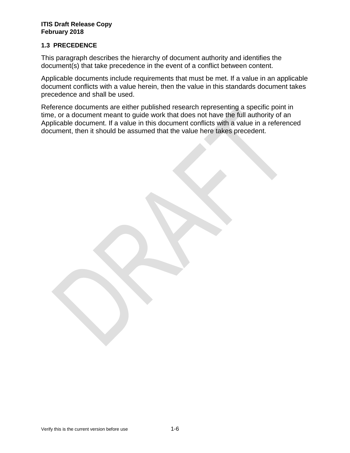# **1.3 PRECEDENCE**

This paragraph describes the hierarchy of document authority and identifies the document(s) that take precedence in the event of a conflict between content.

Applicable documents include requirements that must be met. If a value in an applicable document conflicts with a value herein, then the value in this standards document takes precedence and shall be used.

Reference documents are either published research representing a specific point in time, or a document meant to guide work that does not have the full authority of an Applicable document. If a value in this document conflicts with a value in a referenced document, then it should be assumed that the value here takes precedent.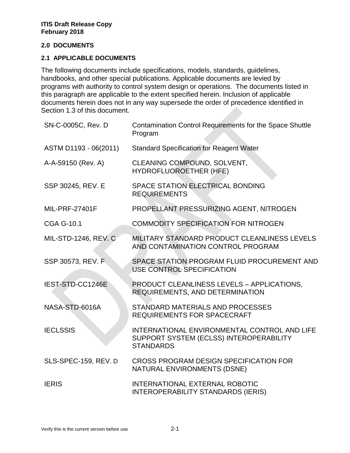## **2.0 DOCUMENTS**

## **2.1 APPLICABLE DOCUMENTS**

The following documents include specifications, models, standards, guidelines, handbooks, and other special publications. Applicable documents are levied by programs with authority to control system design or operations. The documents listed in this paragraph are applicable to the extent specified herein. Inclusion of applicable documents herein does not in any way supersede the order of precedence identified in Section 1.3 of this document.

| SN-C-0005C, Rev. D          | Contamination Control Requirements for the Space Shuttle<br>Program                                         |
|-----------------------------|-------------------------------------------------------------------------------------------------------------|
| ASTM D1193 - 06(2011)       | <b>Standard Specification for Reagent Water</b>                                                             |
| A-A-59150 (Rev. A)          | CLEANING COMPOUND, SOLVENT,<br>HYDROFLUOROETHER (HFE)                                                       |
| SSP 30245, REV. E           | SPACE STATION ELECTRICAL BONDING<br><b>REQUIREMENTS</b>                                                     |
| <b>MIL-PRF-27401F</b>       | PROPELLANT PRESSURIZING AGENT, NITROGEN                                                                     |
| <b>CGA G-10.1</b>           | <b>COMMODITY SPECIFICATION FOR NITROGEN</b>                                                                 |
| <b>MIL-STD-1246, REV. C</b> | MILITARY STANDARD PRODUCT CLEANLINESS LEVELS<br>AND CONTAMINATION CONTROL PROGRAM                           |
| SSP 30573, REV. F.          | SPACE STATION PROGRAM FLUID PROCUREMENT AND<br>USE CONTROL SPECIFICATION                                    |
| IEST-STD-CC1246E            | PRODUCT CLEANLINESS LEVELS - APPLICATIONS,<br>REQUIREMENTS, AND DETERMINATION                               |
| NASA-STD-6016A              | STANDARD MATERIALS AND PROCESSES<br><b>REQUIREMENTS FOR SPACECRAFT</b>                                      |
| <b>IECLSSIS</b>             | INTERNATIONAL ENVIRONMENTAL CONTROL AND LIFE<br>SUPPORT SYSTEM (ECLSS) INTEROPERABILITY<br><b>STANDARDS</b> |
| SLS-SPEC-159, REV. D        | CROSS PROGRAM DESIGN SPECIFICATION FOR<br>NATURAL ENVIRONMENTS (DSNE)                                       |
| <b>IERIS</b>                | <b>INTERNATIONAL EXTERNAL ROBOTIC</b><br><b>INTEROPERABILITY STANDARDS (IERIS)</b>                          |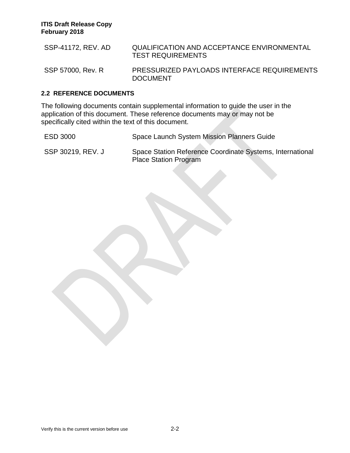| SSP-41172, REV. AD | QUALIFICATION AND ACCEPTANCE ENVIRONMENTAL<br><b>TEST REQUIREMENTS</b> |
|--------------------|------------------------------------------------------------------------|
| SSP 57000, Rev. R  | PRESSURIZED PAYLOADS INTERFACE REQUIREMENTS<br><b>DOCUMENT</b>         |

## **2.2 REFERENCE DOCUMENTS**

The following documents contain supplemental information to guide the user in the application of this document. These reference documents may or may not be specifically cited within the text of this document.

ESD 3000 Space Launch System Mission Planners Guide

SSP 30219, REV. J Space Station Reference Coordinate Systems, International Place Station Program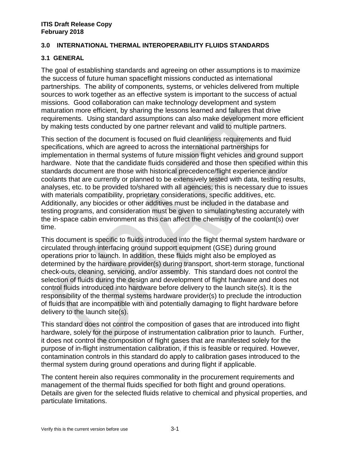# **3.0 INTERNATIONAL THERMAL INTEROPERABILITY FLUIDS STANDARDS**

## **3.1 GENERAL**

The goal of establishing standards and agreeing on other assumptions is to maximize the success of future human spaceflight missions conducted as international partnerships. The ability of components, systems, or vehicles delivered from multiple sources to work together as an effective system is important to the success of actual missions. Good collaboration can make technology development and system maturation more efficient, by sharing the lessons learned and failures that drive requirements. Using standard assumptions can also make development more efficient by making tests conducted by one partner relevant and valid to multiple partners.

This section of the document is focused on fluid cleanliness requirements and fluid specifications, which are agreed to across the international partnerships for implementation in thermal systems of future mission flight vehicles and ground support hardware. Note that the candidate fluids considered and those then specified within this standards document are those with historical precedence/flight experience and/or coolants that are currently or planned to be extensively tested with data, testing results, analyses, etc. to be provided to/shared with all agencies; this is necessary due to issues with materials compatibility, proprietary considerations, specific additives, etc. Additionally, any biocides or other additives must be included in the database and testing programs, and consideration must be given to simulating/testing accurately with the in-space cabin environment as this can affect the chemistry of the coolant(s) over time.

This document is specific to fluids introduced into the flight thermal system hardware or circulated through interfacing ground support equipment (GSE) during ground operations prior to launch. In addition, these fluids might also be employed as determined by the hardware provider(s) during transport, short-term storage, functional check-outs, cleaning, servicing, and/or assembly. This standard does not control the selection of fluids during the design and development of flight hardware and does not control fluids introduced into hardware before delivery to the launch site(s). It is the responsibility of the thermal systems hardware provider(s) to preclude the introduction of fluids that are incompatible with and potentially damaging to flight hardware before delivery to the launch site(s).

This standard does not control the composition of gases that are introduced into flight hardware, solely for the purpose of instrumentation calibration prior to launch. Further, it does not control the composition of flight gases that are manifested solely for the purpose of in-flight instrumentation calibration, if this is feasible or required. However, contamination controls in this standard do apply to calibration gases introduced to the thermal system during ground operations and during flight if applicable.

The content herein also requires commonality in the procurement requirements and management of the thermal fluids specified for both flight and ground operations. Details are given for the selected fluids relative to chemical and physical properties, and particulate limitations.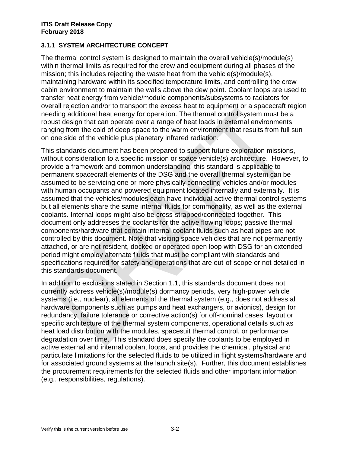# **3.1.1 SYSTEM ARCHITECTURE CONCEPT**

The thermal control system is designed to maintain the overall vehicle(s)/module(s) within thermal limits as required for the crew and equipment during all phases of the mission; this includes rejecting the waste heat from the vehicle(s)/module(s), maintaining hardware within its specified temperature limits, and controlling the crew cabin environment to maintain the walls above the dew point. Coolant loops are used to transfer heat energy from vehicle/module components/subsystems to radiators for overall rejection and/or to transport the excess heat to equipment or a spacecraft region needing additional heat energy for operation. The thermal control system must be a robust design that can operate over a range of heat loads in external environments ranging from the cold of deep space to the warm environment that results from full sun on one side of the vehicle plus planetary infrared radiation.

This standards document has been prepared to support future exploration missions, without consideration to a specific mission or space vehicle(s) architecture. However, to provide a framework and common understanding, this standard is applicable to permanent spacecraft elements of the DSG and the overall thermal system can be assumed to be servicing one or more physically connecting vehicles and/or modules with human occupants and powered equipment located internally and externally. It is assumed that the vehicles/modules each have individual active thermal control systems but all elements share the same internal fluids for commonality, as well as the external coolants. Internal loops might also be cross-strapped/connected-together. This document only addresses the coolants for the active flowing loops; passive thermal components/hardware that contain internal coolant fluids such as heat pipes are not controlled by this document. Note that visiting space vehicles that are not permanently attached, or are not resident, docked or operated open loop with DSG for an extended period might employ alternate fluids that must be compliant with standards and specifications required for safety and operations that are out-of-scope or not detailed in this standards document.

In addition to exclusions stated in Section 1.1, this standards document does not currently address vehicle(s)/module(s) dormancy periods, very high-power vehicle systems (i.e., nuclear), all elements of the thermal system (e.g., does not address all hardware components such as pumps and heat exchangers, or avionics), design for redundancy, failure tolerance or corrective action(s) for off-nominal cases, layout or specific architecture of the thermal system components, operational details such as heat load distribution with the modules, spacesuit thermal control, or performance degradation over time. This standard does specify the coolants to be employed in active external and internal coolant loops, and provides the chemical, physical and particulate limitations for the selected fluids to be utilized in flight systems/hardware and for associated ground systems at the launch site(s). Further, this document establishes the procurement requirements for the selected fluids and other important information (e.g., responsibilities, regulations).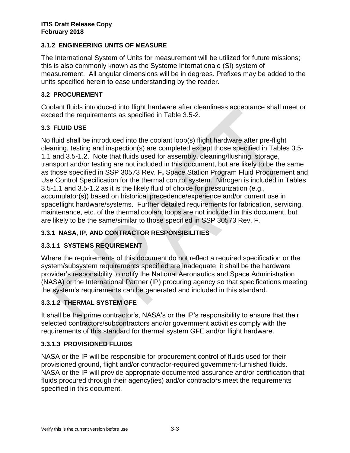# **3.1.2 ENGINEERING UNITS OF MEASURE**

The International System of Units for measurement will be utilized for future missions; this is also commonly known as the Systeme Internationale (SI) system of measurement. All angular dimensions will be in degrees. Prefixes may be added to the units specified herein to ease understanding by the reader.

# **3.2 PROCUREMENT**

Coolant fluids introduced into flight hardware after cleanliness acceptance shall meet or exceed the requirements as specified in Table 3.5-2.

# **3.3 FLUID USE**

No fluid shall be introduced into the coolant loop(s) flight hardware after pre-flight cleaning, testing and inspection(s) are completed except those specified in Tables 3.5- 1.1 and 3.5-1.2. Note that fluids used for assembly, cleaning/flushing, storage, transport and/or testing are not included in this document, but are likely to be the same as those specified in SSP 30573 Rev. F**,** Space Station Program Fluid Procurement and Use Control Specification for the thermal control system. Nitrogen is included in Tables 3.5-1.1 and 3.5-1.2 as it is the likely fluid of choice for pressurization (e.g., accumulator(s)) based on historical precedence/experience and/or current use in spaceflight hardware/systems. Further detailed requirements for fabrication, servicing, maintenance, etc. of the thermal coolant loops are not included in this document, but are likely to be the same/similar to those specified in SSP 30573 Rev. F.

# **3.3.1 NASA, IP, AND CONTRACTOR RESPONSIBILITIES**

# **3.3.1.1 SYSTEMS REQUIREMENT**

Where the requirements of this document do not reflect a required specification or the system/subsystem requirements specified are inadequate, it shall be the hardware provider's responsibility to notify the National Aeronautics and Space Administration (NASA) or the International Partner (IP) procuring agency so that specifications meeting the system's requirements can be generated and included in this standard.

# **3.3.1.2 THERMAL SYSTEM GFE**

It shall be the prime contractor's, NASA's or the IP's responsibility to ensure that their selected contractors/subcontractors and/or government activities comply with the requirements of this standard for thermal system GFE and/or flight hardware.

# **3.3.1.3 PROVISIONED FLUIDS**

NASA or the IP will be responsible for procurement control of fluids used for their provisioned ground, flight and/or contractor-required government-furnished fluids. NASA or the IP will provide appropriate documented assurance and/or certification that fluids procured through their agency(ies) and/or contractors meet the requirements specified in this document.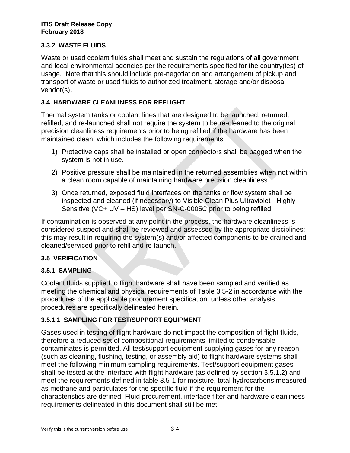# **3.3.2 WASTE FLUIDS**

Waste or used coolant fluids shall meet and sustain the regulations of all government and local environmental agencies per the requirements specified for the country(ies) of usage. Note that this should include pre-negotiation and arrangement of pickup and transport of waste or used fluids to authorized treatment, storage and/or disposal vendor(s).

# **3.4 HARDWARE CLEANLINESS FOR REFLIGHT**

Thermal system tanks or coolant lines that are designed to be launched, returned, refilled, and re-launched shall not require the system to be re-cleaned to the original precision cleanliness requirements prior to being refilled if the hardware has been maintained clean, which includes the following requirements:

- 1) Protective caps shall be installed or open connectors shall be bagged when the system is not in use.
- 2) Positive pressure shall be maintained in the returned assemblies when not within a clean room capable of maintaining hardware precision cleanliness
- 3) Once returned, exposed fluid interfaces on the tanks or flow system shall be inspected and cleaned (if necessary) to Visible Clean Plus Ultraviolet –Highly Sensitive (VC+ UV – HS) level per SN-C-0005C prior to being refilled.

If contamination is observed at any point in the process, the hardware cleanliness is considered suspect and shall be reviewed and assessed by the appropriate disciplines; this may result in requiring the system(s) and/or affected components to be drained and cleaned/serviced prior to refill and re-launch.

# **3.5 VERIFICATION**

# **3.5.1 SAMPLING**

Coolant fluids supplied to flight hardware shall have been sampled and verified as meeting the chemical and physical requirements of Table 3.5-2 in accordance with the procedures of the applicable procurement specification, unless other analysis procedures are specifically delineated herein.

# **3.5.1.1 SAMPLING FOR TEST/SUPPORT EQUIPMENT**

Gases used in testing of flight hardware do not impact the composition of flight fluids, therefore a reduced set of compositional requirements limited to condensable contaminates is permitted. All test/support equipment supplying gases for any reason (such as cleaning, flushing, testing, or assembly aid) to flight hardware systems shall meet the following minimum sampling requirements. Test/support equipment gases shall be tested at the interface with flight hardware (as defined by section 3.5.1.2) and meet the requirements defined in table 3.5-1 for moisture, total hydrocarbons measured as methane and particulates for the specific fluid if the requirement for the characteristics are defined. Fluid procurement, interface filter and hardware cleanliness requirements delineated in this document shall still be met.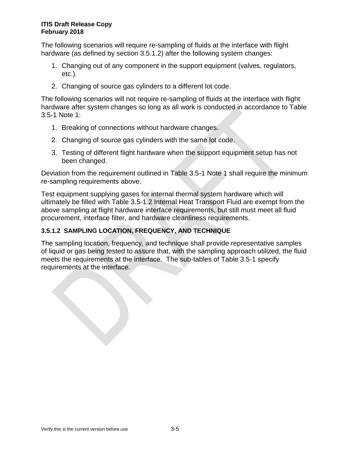The following scenarios will require re-sampling of fluids at the interface with flight hardware (as defined by section 3.5.1.2) after the following system changes:

- 1. Changing out of any component in the support equipment (valves, regulators, etc.).
- 2. Changing of source gas cylinders to a different lot code.

The following scenarios will not require re-sampling of fluids at the interface with flight hardware after system changes so long as all work is conducted in accordance to Table 3.5-1 Note 1:

- 1. Breaking of connections without hardware changes.
- 2. Changing of source gas cylinders with the same lot code.
- 3. Testing of different flight hardware when the support equipment setup has not been changed.

Deviation from the requirement outlined in Table 3.5-1 Note 1 shall require the minimum re-sampling requirements above.

Test equipment supplying gases for internal thermal system hardware which will ultimately be filled with Table 3.5-1.2 Internal Heat Transport Fluid are exempt from the above sampling at flight hardware interface requirements, but still must meet all fluid procurement, interface filter, and hardware cleanliness requirements.

# **3.5.1.2 SAMPLING LOCATION, FREQUENCY, AND TECHNIQUE**

The sampling location, frequency, and technique shall provide representative samples of liquid or gas being tested to assure that, with the sampling approach utilized, the fluid meets the requirements at the interface. The sub-tables of Table 3.5-1 specify requirements at the interface.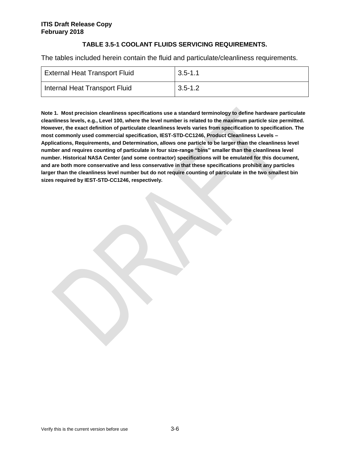## **TABLE 3.5-1 COOLANT FLUIDS SERVICING REQUIREMENTS.**

The tables included herein contain the fluid and particulate/cleanliness requirements.

| <b>External Heat Transport Fluid</b> | 3.5-1.1 |
|--------------------------------------|---------|
| Internal Heat Transport Fluid        | 3.5-1.2 |

**Note 1. Most precision cleanliness specifications use a standard terminology to define hardware particulate cleanliness levels, e.g., Level 100, where the level number is related to the maximum particle size permitted. However, the exact definition of particulate cleanliness levels varies from specification to specification. The most commonly used commercial specification, IEST-STD-CC1246, Product Cleanliness Levels – Applications, Requirements, and Determination, allows one particle to be larger than the cleanliness level number and requires counting of particulate in four size-range "bins" smaller than the cleanliness level number. Historical NASA Center (and some contractor) specifications will be emulated for this document, and are both more conservative and less conservative in that these specifications prohibit any particles larger than the cleanliness level number but do not require counting of particulate in the two smallest bin sizes required by IEST-STD-CC1246, respectively.**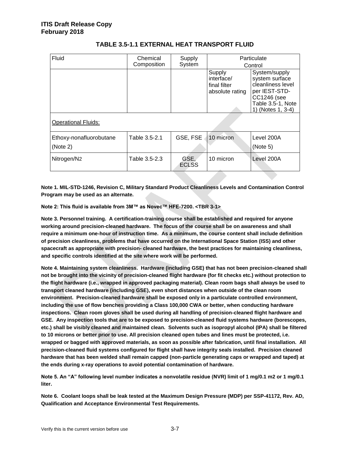| Fluid                               | Chemical<br>Composition | Supply<br>System     | Particulate<br>Control                                  |                                                                                                                                       |
|-------------------------------------|-------------------------|----------------------|---------------------------------------------------------|---------------------------------------------------------------------------------------------------------------------------------------|
| <b>Operational Fluids:</b>          |                         |                      | Supply<br>interface/<br>final filter<br>absolute rating | System/supply<br>system surface<br>cleanliness level<br>per IEST-STD-<br><b>CC1246</b> (see<br>Table 3.5-1, Note<br>1) (Notes 1, 3-4) |
| Ethoxy-nonafluorobutane<br>(Note 2) | Table 3.5-2.1           | GSE, FSE             | 10 micron                                               | Level 200A<br>(Note 5)                                                                                                                |
| Nitrogen/N2                         | Table 3.5-2.3           | GSE,<br><b>ECLSS</b> | 10 micron                                               | Level 200A                                                                                                                            |

## **TABLE 3.5-1.1 EXTERNAL HEAT TRANSPORT FLUID**

**Note 1. MIL-STD-1246, Revision C, Military Standard Product Cleanliness Levels and Contamination Control Program may be used as an alternate.**

**Note 2: This fluid is available from 3M™ as Novec™ HFE-7200. <TBR 3-1>**

**Note 3. Personnel training. A certification-training course shall be established and required for anyone working around precision-cleaned hardware. The focus of the course shall be on awareness and shall require a minimum one-hour of instruction time. As a minimum, the course content shall include definition of precision cleanliness, problems that have occurred on the International Space Station (ISS) and other spacecraft as appropriate with precision- cleaned hardware, the best practices for maintaining cleanliness, and specific controls identified at the site where work will be performed.**

**Note 4. Maintaining system cleanliness. Hardware (including GSE) that has not been precision-cleaned shall not be brought into the vicinity of precision-cleaned flight hardware (for fit checks etc.) without protection to the flight hardware (i.e., wrapped in approved packaging material). Clean room bags shall always be used to transport cleaned hardware (including GSE), even short distances when outside of the clean room environment. Precision-cleaned hardware shall be exposed only in a particulate controlled environment, including the use of flow benches providing a Class 100,000 CWA or better, when conducting hardware inspections. Clean room gloves shall be used during all handling of precision-cleaned flight hardware and GSE. Any inspection tools that are to be exposed to precision-cleaned fluid systems hardware (borescopes, etc.) shall be visibly cleaned and maintained clean. Solvents such as isopropyl alcohol (IPA) shall be filtered to 10 microns or better prior to use. All precision cleaned open tubes and lines must be protected, i.e. wrapped or bagged with approved materials, as soon as possible after fabrication, until final installation. All precision-cleaned fluid systems configured for flight shall have integrity seals installed. Precision cleaned hardware that has been welded shall remain capped (non-particle generating caps or wrapped and taped) at the ends during x-ray operations to avoid potential contamination of hardware.**

**Note 5. An "A" following level number indicates a nonvolatile residue (NVR) limit of 1 mg/0.1 m2 or 1 mg/0.1 liter.**

**Note 6. Coolant loops shall be leak tested at the Maximum Design Pressure (MDP) per SSP-41172, Rev. AD, Qualification and Acceptance Environmental Test Requirements.**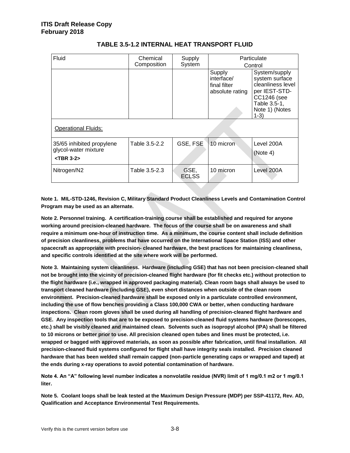| Fluid                                                                | Chemical<br>Composition | Supply<br>System     | Particulate<br>Control                                  |                                                                                                                                  |
|----------------------------------------------------------------------|-------------------------|----------------------|---------------------------------------------------------|----------------------------------------------------------------------------------------------------------------------------------|
|                                                                      |                         |                      | Supply<br>interface/<br>final filter<br>absolute rating | System/supply<br>system surface<br>cleanliness level<br>per IEST-STD-<br>CC1246 (see<br>Table 3.5-1,<br>Note 1) (Notes<br>$1-3)$ |
| <b>Operational Fluids:</b>                                           |                         |                      |                                                         |                                                                                                                                  |
| 35/65 inhibited propylene<br>glycol-water mixture<br>$<$ TBR 3-2 $>$ | Table 3.5-2.2           | GSE, FSE             | 10 micron                                               | Level 200A<br>(Note 4)                                                                                                           |
| Nitrogen/N2                                                          | Table 3.5-2.3           | GSE,<br><b>ECLSS</b> | 10 micron                                               | Level 200A                                                                                                                       |

## **TABLE 3.5-1.2 INTERNAL HEAT TRANSPORT FLUID**

**Note 1. MIL-STD-1246, Revision C, Military Standard Product Cleanliness Levels and Contamination Control Program may be used as an alternate.**

**Note 2. Personnel training. A certification-training course shall be established and required for anyone working around precision-cleaned hardware. The focus of the course shall be on awareness and shall require a minimum one-hour of instruction time. As a minimum, the course content shall include definition of precision cleanliness, problems that have occurred on the International Space Station (ISS) and other spacecraft as appropriate with precision- cleaned hardware, the best practices for maintaining cleanliness, and specific controls identified at the site where work will be performed.**

**Note 3. Maintaining system cleanliness. Hardware (including GSE) that has not been precision-cleaned shall not be brought into the vicinity of precision-cleaned flight hardware (for fit checks etc.) without protection to the flight hardware (i.e., wrapped in approved packaging material). Clean room bags shall always be used to transport cleaned hardware (including GSE), even short distances when outside of the clean room environment. Precision-cleaned hardware shall be exposed only in a particulate controlled environment, including the use of flow benches providing a Class 100,000 CWA or better, when conducting hardware inspections. Clean room gloves shall be used during all handling of precision-cleaned flight hardware and GSE. Any inspection tools that are to be exposed to precision-cleaned fluid systems hardware (borescopes, etc.) shall be visibly cleaned and maintained clean. Solvents such as isopropyl alcohol (IPA) shall be filtered to 10 microns or better prior to use. All precision cleaned open tubes and lines must be protected, i.e. wrapped or bagged with approved materials, as soon as possible after fabrication, until final installation. All precision-cleaned fluid systems configured for flight shall have integrity seals installed. Precision cleaned hardware that has been welded shall remain capped (non-particle generating caps or wrapped and taped) at the ends during x-ray operations to avoid potential contamination of hardware.**

**Note 4. An "A" following level number indicates a nonvolatile residue (NVR) limit of 1 mg/0.1 m2 or 1 mg/0.1 liter.**

**Note 5. Coolant loops shall be leak tested at the Maximum Design Pressure (MDP) per SSP-41172, Rev. AD, Qualification and Acceptance Environmental Test Requirements.**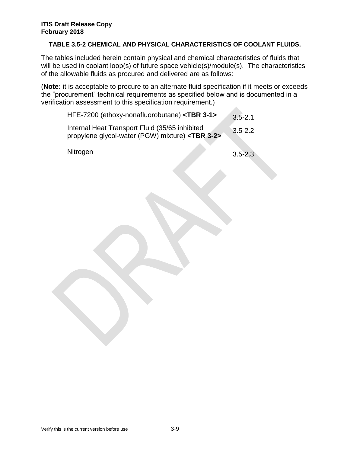## **TABLE 3.5-2 CHEMICAL AND PHYSICAL CHARACTERISTICS OF COOLANT FLUIDS.**

The tables included herein contain physical and chemical characteristics of fluids that will be used in coolant loop(s) of future space vehicle(s)/module(s). The characteristics of the allowable fluids as procured and delivered are as follows:

(**Note:** it is acceptable to procure to an alternate fluid specification if it meets or exceeds the "procurement" technical requirements as specified below and is documented in a verification assessment to this specification requirement.) 

| HFE-7200 (ethoxy-nonafluorobutane) <tbr 3-1=""></tbr> | $3.5 - 2.1$ |  |
|-------------------------------------------------------|-------------|--|
|-------------------------------------------------------|-------------|--|

Internal Heat Transport Fluid (35/65 inhibited propylene glycol-water (PGW) mixture) **<TBR 3-2>** 3.5-2.2

Nitrogen 3.5-2.3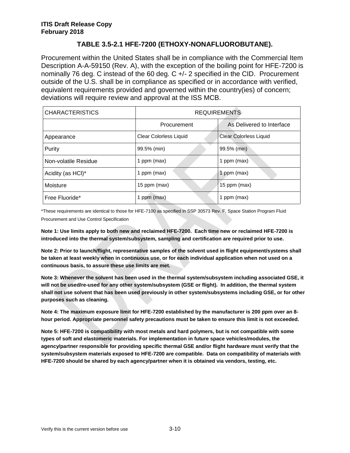# **TABLE 3.5-2.1 HFE-7200 (ETHOXY-NONAFLUOROBUTANE).**

Procurement within the United States shall be in compliance with the Commercial Item Description A-A-59150 (Rev. A), with the exception of the boiling point for HFE-7200 is nominally 76 deg. C instead of the 60 deg. C +/- 2 specified in the CID. Procurement outside of the U.S. shall be in compliance as specified or in accordance with verified, equivalent requirements provided and governed within the country(ies) of concern; deviations will require review and approval at the ISS MCB.

| <b>CHARACTERISTICS</b> | <b>REQUIREMENTS</b>           |                               |  |
|------------------------|-------------------------------|-------------------------------|--|
|                        | Procurement                   | As Delivered to Interface     |  |
| Appearance             | <b>Clear Colorless Liquid</b> | <b>Clear Colorless Liquid</b> |  |
| Purity                 | 99.5% (min)                   | 99.5% (min)                   |  |
| Non-volatile Residue   | 1 ppm (max)                   | 1 ppm (max)                   |  |
| Acidity (as HCI)*      | 1 ppm (max)                   | 1 ppm (max)                   |  |
| Moisture               | 15 ppm (max)                  | 15 ppm (max)                  |  |
| Free Fluoride*         | 1 ppm (max)                   | ppm (max)                     |  |

\*These requirements are identical to those for HFE-7100 as specified in SSP 30573 Rev. F, Space Station Program Fluid Procurement and Use Control Specification

**Note 1: Use limits apply to both new and reclaimed HFE-7200. Each time new or reclaimed HFE-7200 is introduced into the thermal system/subsystem, sampling and certification are required prior to use.**

**Note 2: Prior to launch/flight, representative samples of the solvent used in flight equipment/systems shall be taken at least weekly when in continuous use, or for each individual application when not used on a continuous basis, to assure these use limits are met.**

**Note 3: Whenever the solvent has been used in the thermal system/subsystem including associated GSE, it will not be used/re-used for any other system/subsystem (GSE or flight). In addition, the thermal system shall not use solvent that has been used previously in other system/subsystems including GSE, or for other purposes such as cleaning.**

**Note 4: The maximum exposure limit for HFE-7200 established by the manufacturer is 200 ppm over an 8 hour period. Appropriate personnel safety precautions must be taken to ensure this limit is not exceeded.**

**Note 5: HFE-7200 is compatibility with most metals and hard polymers, but is not compatible with some types of soft and elastomeric materials. For implementation in future space vehicles/modules, the agency/partner responsible for providing specific thermal GSE and/or flight hardware must verify that the system/subsystem materials exposed to HFE-7200 are compatible. Data on compatibility of materials with HFE-7200 should be shared by each agency/partner when it is obtained via vendors, testing, etc.**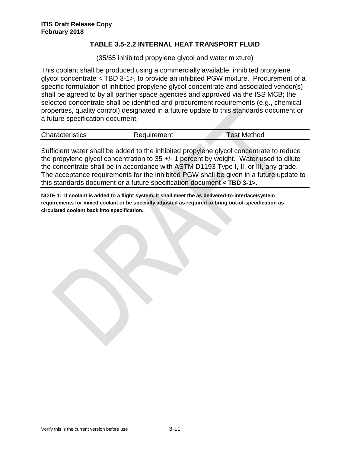## **TABLE 3.5-2.2 INTERNAL HEAT TRANSPORT FLUID**

(35/65 inhibited propylene glycol and water mixture)

This coolant shall be produced using a commercially available, inhibited propylene glycol concentrate < TBD 3-1>, to provide an inhibited PGW mixture. Procurement of a specific formulation of inhibited propylene glycol concentrate and associated vendor(s) shall be agreed to by all partner space agencies and approved via the ISS MCB; the selected concentrate shall be identified and procurement requirements (e.g., chemical properties, quality control) designated in a future update to this standards document or a future specification document.

| <b>Characteristics</b> | Requirement | <b>Test Method</b> |  |
|------------------------|-------------|--------------------|--|

Sufficient water shall be added to the inhibited propylene glycol concentrate to reduce the propylene glycol concentration to 35 +/- 1 percent by weight. Water used to dilute the concentrate shall be in accordance with ASTM D1193 Type I, II, or III, any grade. The acceptance requirements for the inhibited PGW shall be given in a future update to this standards document or a future specification document **< TBD 3-1>**.

**NOTE 1: If coolant is added to a flight system, it shall meet the as delivered-to-interface/system requirements for mixed coolant or be specially adjusted as required to bring out-of-specification as circulated coolant back into specification.**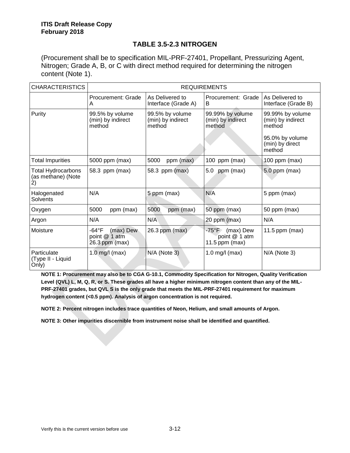# **TABLE 3.5-2.3 NITROGEN**

(Procurement shall be to specification MIL-PRF-27401, Propellant, Pressurizing Agent, Nitrogen; Grade A, B, or C with direct method required for determining the nitrogen content (Note 1).

| <b>CHARACTERISTICS</b>                         | <b>REQUIREMENTS</b>                                   |                                                |                                                           |                                                                                                 |
|------------------------------------------------|-------------------------------------------------------|------------------------------------------------|-----------------------------------------------------------|-------------------------------------------------------------------------------------------------|
|                                                | Procurement: Grade<br>A                               | As Delivered to<br>Interface (Grade A)         | Procurement: Grade<br>B                                   | As Delivered to<br>Interface (Grade B)                                                          |
| Purity                                         | 99.5% by volume<br>(min) by indirect<br>method        | 99.5% by volume<br>(min) by indirect<br>method | 99.99% by volume<br>(min) by indirect<br>method           | 99.99% by volume<br>(min) by indirect<br>method<br>95.0% by volume<br>(min) by direct<br>method |
| <b>Total Impurities</b>                        | 5000 ppm (max)                                        | 5000<br>ppm (max)                              | 100 ppm (max)                                             | $100$ ppm (max)                                                                                 |
| Total Hydrocarbons<br>(as methane) (Note<br>2) | 58.3 ppm (max)                                        | 58.3 ppm (max)                                 | ppm (max)<br>5.0                                          | 5.0 ppm (max)                                                                                   |
| Halogenated<br>Solvents                        | N/A                                                   | 5 ppm (max)                                    | N/A                                                       | 5 ppm (max)                                                                                     |
| Oxygen                                         | ppm (max)<br>5000                                     | 5000<br>ppm (max)                              | 50 ppm (max)                                              | 50 ppm (max)                                                                                    |
| Argon                                          | N/A                                                   | N/A                                            | 20 ppm (max)                                              | N/A                                                                                             |
| Moisture                                       | -64°F<br>(max) Dew<br>point @ 1 atm<br>26.3 ppm (max) | 26.3 ppm (max)                                 | -75°F -<br>(max) Dew<br>point @ 1 atm<br>11.5 ppm $(max)$ | 11.5 ppm ( $max$ )                                                                              |
| Particulate<br>(Type II - Liquid<br>Only)      | $1.0$ mg/l (max)                                      | N/A (Note 3)                                   | $1.0$ mg/l (max)                                          | N/A (Note 3)                                                                                    |

**NOTE 1: Procurement may also be to CGA G-10.1, Commodity Specification for Nitrogen, Quality Verification Level (QVL) L, M, Q, R, or S. These grades all have a higher minimum nitrogen content than any of the MIL-PRF-27401 grades, but QVL S is the only grade that meets the MIL-PRF-27401 requirement for maximum hydrogen content (<0.5 ppm). Analysis of argon concentration is not required.**

**NOTE 2: Percent nitrogen includes trace quantities of Neon, Helium, and small amounts of Argon.**

**NOTE 3: Other impurities discernible from instrument noise shall be identified and quantified.**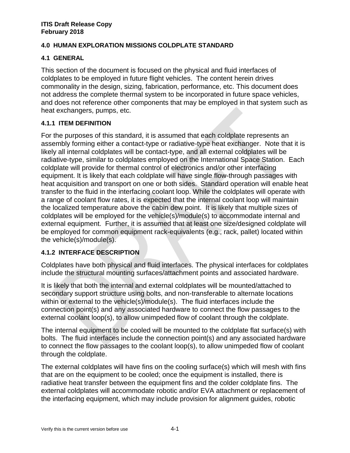# **4.0 HUMAN EXPLORATION MISSIONS COLDPLATE STANDARD**

# **4.1 GENERAL**

This section of the document is focused on the physical and fluid interfaces of coldplates to be employed in future flight vehicles. The content herein drives commonality in the design, sizing, fabrication, performance, etc. This document does not address the complete thermal system to be incorporated in future space vehicles, and does not reference other components that may be employed in that system such as heat exchangers, pumps, etc.

# **4.1.1 ITEM DEFINITION**

For the purposes of this standard, it is assumed that each coldplate represents an assembly forming either a contact-type or radiative-type heat exchanger. Note that it is likely all internal coldplates will be contact-type, and all external coldplates will be radiative-type, similar to coldplates employed on the International Space Station. Each coldplate will provide for thermal control of electronics and/or other interfacing equipment. It is likely that each coldplate will have single flow-through passages with heat acquisition and transport on one or both sides. Standard operation will enable heat transfer to the fluid in the interfacing coolant loop. While the coldplates will operate with a range of coolant flow rates, it is expected that the internal coolant loop will maintain the localized temperature above the cabin dew point. It is likely that multiple sizes of coldplates will be employed for the vehicle(s)/module(s) to accommodate internal and external equipment. Further, it is assumed that at least one size/designed coldplate will be employed for common equipment rack-equivalents (e.g., rack, pallet) located within the vehicle(s)/module(s).

# **4.1.2 INTERFACE DESCRIPTION**

Coldplates have both physical and fluid interfaces. The physical interfaces for coldplates include the structural mounting surfaces/attachment points and associated hardware.

It is likely that both the internal and external coldplates will be mounted/attached to secondary support structure using bolts, and non-transferable to alternate locations within or external to the vehicle(s)/module(s). The fluid interfaces include the connection point(s) and any associated hardware to connect the flow passages to the external coolant loop(s), to allow unimpeded flow of coolant through the coldplate.

The internal equipment to be cooled will be mounted to the coldplate flat surface(s) with bolts. The fluid interfaces include the connection point(s) and any associated hardware to connect the flow passages to the coolant loop(s), to allow unimpeded flow of coolant through the coldplate.

The external coldplates will have fins on the cooling surface(s) which will mesh with fins that are on the equipment to be cooled; once the equipment is installed, there is radiative heat transfer between the equipment fins and the colder coldplate fins. The external coldplates will accommodate robotic and/or EVA attachment or replacement of the interfacing equipment, which may include provision for alignment guides, robotic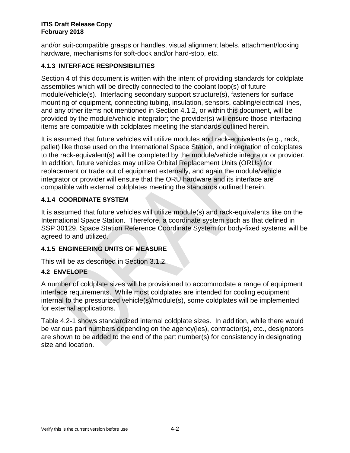and/or suit-compatible grasps or handles, visual alignment labels, attachment/locking hardware, mechanisms for soft-dock and/or hard-stop, etc.

# **4.1.3 INTERFACE RESPONSIBILITIES**

Section 4 of this document is written with the intent of providing standards for coldplate assemblies which will be directly connected to the coolant loop(s) of future module/vehicle(s). Interfacing secondary support structure(s), fasteners for surface mounting of equipment, connecting tubing, insulation, sensors, cabling/electrical lines, and any other items not mentioned in Section 4.1.2, or within this document, will be provided by the module/vehicle integrator; the provider(s) will ensure those interfacing items are compatible with coldplates meeting the standards outlined herein.

It is assumed that future vehicles will utilize modules and rack-equivalents (e.g., rack, pallet) like those used on the International Space Station, and integration of coldplates to the rack-equivalent(s) will be completed by the module/vehicle integrator or provider. In addition, future vehicles may utilize Orbital Replacement Units (ORUs) for replacement or trade out of equipment externally, and again the module/vehicle integrator or provider will ensure that the ORU hardware and its interface are compatible with external coldplates meeting the standards outlined herein.

# **4.1.4 COORDINATE SYSTEM**

It is assumed that future vehicles will utilize module(s) and rack-equivalents like on the International Space Station. Therefore, a coordinate system such as that defined in SSP 30129, Space Station Reference Coordinate System for body-fixed systems will be agreed to and utilized.

# **4.1.5 ENGINEERING UNITS OF MEASURE**

This will be as described in Section 3.1.2.

# **4.2 ENVELOPE**

A number of coldplate sizes will be provisioned to accommodate a range of equipment interface requirements. While most coldplates are intended for cooling equipment internal to the pressurized vehicle(s)/module(s), some coldplates will be implemented for external applications.

Table 4.2-1 shows standardized internal coldplate sizes. In addition, while there would be various part numbers depending on the agency(ies), contractor(s), etc., designators are shown to be added to the end of the part number(s) for consistency in designating size and location.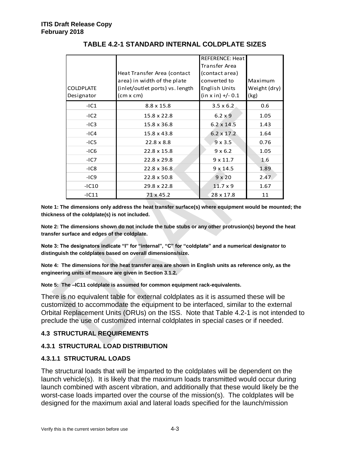|                  |                                 | <b>REFERENCE: Heat</b> |              |
|------------------|---------------------------------|------------------------|--------------|
|                  |                                 | Transfer Area          |              |
|                  | Heat Transfer Area (contact     | (contact area)         |              |
|                  | area) in width of the plate     | converted to           | Maximum      |
| <b>COLDPLATE</b> | (inlet/outlet ports) vs. length | English Units          | Weight (dry) |
| Designator       | (cm x cm)                       | $(in x in) +/- 0.1$    | (kg)         |
| $-IC1$           | 8.8 x 15.8                      | $3.5 \times 6.2$       | 0.6          |
| $-IC2$           | 15.8 x 22.8                     | $6.2 \times 9$         | 1.05         |
| $-IC3$           | 15.8 x 36.8                     | $6.2 \times 14.5$      | 1.43         |
| $-IC4$           | 15.8 x 43.8                     | $6.2 \times 17.2$      | 1.64         |
| $-IC5$           | $22.8 \times 8.8$               | $9 \times 3.5$         | 0.76         |
| $-IC6$           | 22.8 x 15.8                     | $9 \times 6.2$         | 1.05         |
| $-IC7$           | 22.8 x 29.8                     | $9 \times 11.7$        | 1.6          |
| $-IC8$           | 22.8 x 36.8                     | $9 \times 14.5$        | 1.89         |
| $-IC9$           | 22.8 x 50.8                     | $9 \times 20$          | 2.47         |
| $-IC10$          | 29.8 x 22.8                     | $11.7 \times 9$        | 1.67         |
| $-IC11$          | 71 x 45.2                       | 28 x 17.8              | 11           |
|                  |                                 |                        |              |

# **TABLE 4.2-1 STANDARD INTERNAL COLDPLATE SIZES**

**Note 1: The dimensions only address the heat transfer surface(s) where equipment would be mounted; the thickness of the coldplate(s) is not included.**

**Note 2: The dimensions shown do not include the tube stubs or any other protrusion(s) beyond the heat transfer surface and edges of the coldplate.**

**Note 3: The designators indicate "I" for "internal", "C" for "coldplate" and a numerical designator to distinguish the coldplates based on overall dimensions/size.**

**Note 4: The dimensions for the heat transfer area are shown in English units as reference only, as the engineering units of measure are given in Section 3.1.2.**

**Note 5: The –IC11 coldplate is assumed for common equipment rack-equivalents.**

There is no equivalent table for external coldplates as it is assumed these will be customized to accommodate the equipment to be interfaced, similar to the external Orbital Replacement Units (ORUs) on the ISS. Note that Table 4.2-1 is not intended to preclude the use of customized internal coldplates in special cases or if needed.

# **4.3 STRUCTURAL REQUIREMENTS**

# **4.3.1 STRUCTURAL LOAD DISTRIBUTION**

## **4.3.1.1 STRUCTURAL LOADS**

The structural loads that will be imparted to the coldplates will be dependent on the launch vehicle(s). It is likely that the maximum loads transmitted would occur during launch combined with ascent vibration, and additionally that these would likely be the worst-case loads imparted over the course of the mission(s). The coldplates will be designed for the maximum axial and lateral loads specified for the launch/mission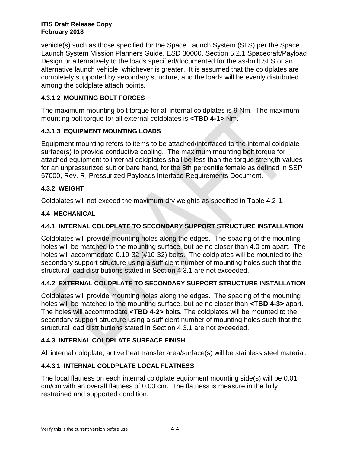vehicle(s) such as those specified for the Space Launch System (SLS) per the Space Launch System Mission Planners Guide, ESD 30000, Section 5.2.1 Spacecraft/Payload Design or alternatively to the loads specified/documented for the as-built SLS or an alternative launch vehicle, whichever is greater. It is assumed that the coldplates are completely supported by secondary structure, and the loads will be evenly distributed among the coldplate attach points.

# **4.3.1.2 MOUNTING BOLT FORCES**

The maximum mounting bolt torque for all internal coldplates is 9 Nm. The maximum mounting bolt torque for all external coldplates is **<TBD 4-1>** Nm.

# **4.3.1.3 EQUIPMENT MOUNTING LOADS**

Equipment mounting refers to items to be attached/interfaced to the internal coldplate surface(s) to provide conductive cooling. The maximum mounting bolt torque for attached equipment to internal coldplates shall be less than the torque strength values for an unpressurized suit or bare hand, for the 5th percentile female as defined in SSP 57000, Rev. R, Pressurized Payloads Interface Requirements Document.

# **4.3.2 WEIGHT**

Coldplates will not exceed the maximum dry weights as specified in Table 4.2-1.

# **4.4 MECHANICAL**

# **4.4.1 INTERNAL COLDPLATE TO SECONDARY SUPPORT STRUCTURE INSTALLATION**

Coldplates will provide mounting holes along the edges. The spacing of the mounting holes will be matched to the mounting surface, but be no closer than 4.0 cm apart. The holes will accommodate 0.19-32 (#10-32) bolts. The coldplates will be mounted to the secondary support structure using a sufficient number of mounting holes such that the structural load distributions stated in Section 4.3.1 are not exceeded.

# **4.4.2 EXTERNAL COLDPLATE TO SECONDARY SUPPORT STRUCTURE INSTALLATION**

Coldplates will provide mounting holes along the edges. The spacing of the mounting holes will be matched to the mounting surface, but be no closer than **<TBD 4-3>** apart. The holes will accommodate **<TBD 4-2>** bolts. The coldplates will be mounted to the secondary support structure using a sufficient number of mounting holes such that the structural load distributions stated in Section 4.3.1 are not exceeded.

# **4.4.3 INTERNAL COLDPLATE SURFACE FINISH**

All internal coldplate, active heat transfer area/surface(s) will be stainless steel material.

# **4.4.3.1 INTERNAL COLDPLATE LOCAL FLATNESS**

The local flatness on each internal coldplate equipment mounting side(s) will be 0.01 cm/cm with an overall flatness of 0.03 cm. The flatness is measure in the fully restrained and supported condition.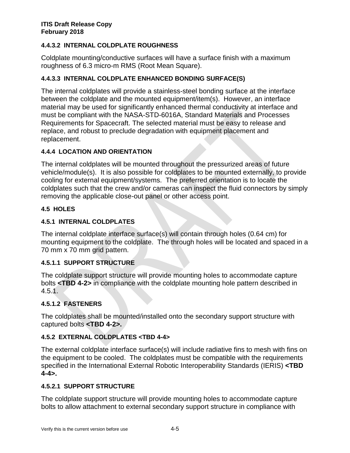# **4.4.3.2 INTERNAL COLDPLATE ROUGHNESS**

Coldplate mounting/conductive surfaces will have a surface finish with a maximum roughness of 6.3 micro-m RMS (Root Mean Square).

# **4.4.3.3 INTERNAL COLDPLATE ENHANCED BONDING SURFACE(S)**

The internal coldplates will provide a stainless-steel bonding surface at the interface between the coldplate and the mounted equipment/item(s). However, an interface material may be used for significantly enhanced thermal conductivity at interface and must be compliant with the NASA-STD-6016A, Standard Materials and Processes Requirements for Spacecraft. The selected material must be easy to release and replace, and robust to preclude degradation with equipment placement and replacement.

# **4.4.4 LOCATION AND ORIENTATION**

The internal coldplates will be mounted throughout the pressurized areas of future vehicle/module(s). It is also possible for coldplates to be mounted externally, to provide cooling for external equipment/systems. The preferred orientation is to locate the coldplates such that the crew and/or cameras can inspect the fluid connectors by simply removing the applicable close-out panel or other access point.

# **4.5 HOLES**

# **4.5.1 INTERNAL COLDPLATES**

The internal coldplate interface surface(s) will contain through holes (0.64 cm) for mounting equipment to the coldplate. The through holes will be located and spaced in a 70 mm x 70 mm grid pattern.

# **4.5.1.1 SUPPORT STRUCTURE**

The coldplate support structure will provide mounting holes to accommodate capture bolts **<TBD 4-2>** in compliance with the coldplate mounting hole pattern described in  $4.5.1.$ 

# **4.5.1.2 FASTENERS**

The coldplates shall be mounted/installed onto the secondary support structure with captured bolts **<TBD 4-2>.**

# **4.5.2 EXTERNAL COLDPLATES <TBD 4-4>**

The external coldplate interface surface(s) will include radiative fins to mesh with fins on the equipment to be cooled. The coldplates must be compatible with the requirements specified in the International External Robotic Interoperability Standards (IERIS) **<TBD 4-4>.**

# **4.5.2.1 SUPPORT STRUCTURE**

The coldplate support structure will provide mounting holes to accommodate capture bolts to allow attachment to external secondary support structure in compliance with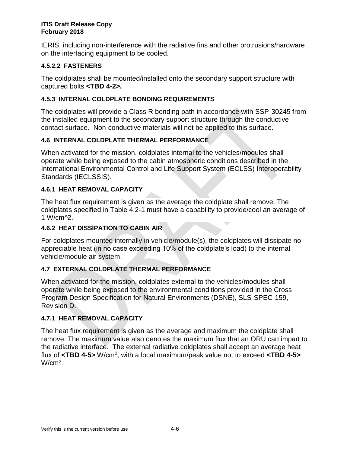IERIS, including non-interference with the radiative fins and other protrusions/hardware on the interfacing equipment to be cooled.

# **4.5.2.2 FASTENERS**

The coldplates shall be mounted/installed onto the secondary support structure with captured bolts **<TBD 4-2>.**

# **4.5.3 INTERNAL COLDPLATE BONDING REQUIREMENTS**

The coldplates will provide a Class R bonding path in accordance with SSP-30245 from the installed equipment to the secondary support structure through the conductive contact surface. Non-conductive materials will not be applied to this surface.

# **4.6 INTERNAL COLDPLATE THERMAL PERFORMANCE**

When activated for the mission, coldplates internal to the vehicles/modules shall operate while being exposed to the cabin atmospheric conditions described in the International Environmental Control and Life Support System (ECLSS) Interoperability Standards (IECLSSIS).

# **4.6.1 HEAT REMOVAL CAPACITY**

The heat flux requirement is given as the average the coldplate shall remove. The coldplates specified in Table 4.2-1 must have a capability to provide/cool an average of 1 W/cm^2.

# **4.6.2 HEAT DISSIPATION TO CABIN AIR**

For coldplates mounted internally in vehicle/module(s), the coldplates will dissipate no appreciable heat (in no case exceeding 10% of the coldplate's load) to the internal vehicle/module air system.

# **4.7 EXTERNAL COLDPLATE THERMAL PERFORMANCE**

When activated for the mission, coldplates external to the vehicles/modules shall operate while being exposed to the environmental conditions provided in the Cross Program Design Specification for Natural Environments (DSNE), SLS-SPEC-159, Revision D.

# **4.7.1 HEAT REMOVAL CAPACITY**

The heat flux requirement is given as the average and maximum the coldplate shall remove. The maximum value also denotes the maximum flux that an ORU can impart to the radiative interface. The external radiative coldplates shall accept an average heat flux of **<TBD 4-5>** W/cm<sup>2</sup> , with a local maximum/peak value not to exceed **<TBD 4-5>**  $W/cm<sup>2</sup>$ .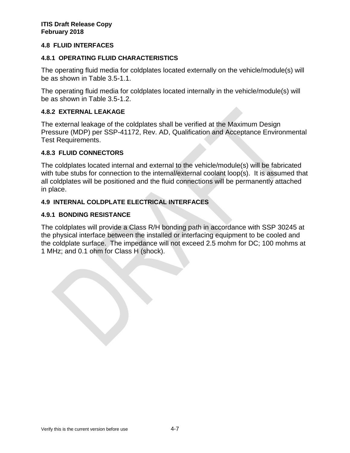## **4.8 FLUID INTERFACES**

## **4.8.1 OPERATING FLUID CHARACTERISTICS**

The operating fluid media for coldplates located externally on the vehicle/module(s) will be as shown in Table 3.5-1.1.

The operating fluid media for coldplates located internally in the vehicle/module(s) will be as shown in Table 3.5-1.2.

## **4.8.2 EXTERNAL LEAKAGE**

The external leakage of the coldplates shall be verified at the Maximum Design Pressure (MDP) per SSP-41172, Rev. AD, Qualification and Acceptance Environmental Test Requirements.

## **4.8.3 FLUID CONNECTORS**

The coldplates located internal and external to the vehicle/module(s) will be fabricated with tube stubs for connection to the internal/external coolant loop(s). It is assumed that all coldplates will be positioned and the fluid connections will be permanently attached in place.

## **4.9 INTERNAL COLDPLATE ELECTRICAL INTERFACES**

## **4.9.1 BONDING RESISTANCE**

The coldplates will provide a Class R/H bonding path in accordance with SSP 30245 at the physical interface between the installed or interfacing equipment to be cooled and the coldplate surface. The impedance will not exceed 2.5 mohm for DC; 100 mohms at 1 MHz; and 0.1 ohm for Class H (shock).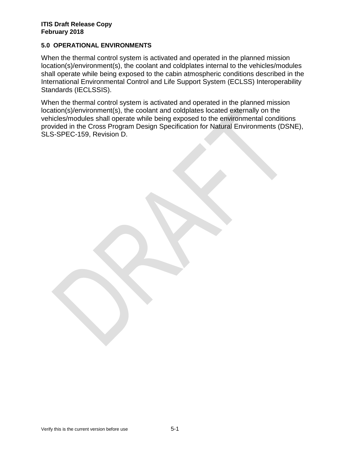## **5.0 OPERATIONAL ENVIRONMENTS**

When the thermal control system is activated and operated in the planned mission location(s)/environment(s), the coolant and coldplates internal to the vehicles/modules shall operate while being exposed to the cabin atmospheric conditions described in the International Environmental Control and Life Support System (ECLSS) Interoperability Standards (IECLSSIS).

When the thermal control system is activated and operated in the planned mission location(s)/environment(s), the coolant and coldplates located externally on the vehicles/modules shall operate while being exposed to the environmental conditions provided in the Cross Program Design Specification for Natural Environments (DSNE), SLS-SPEC-159, Revision D.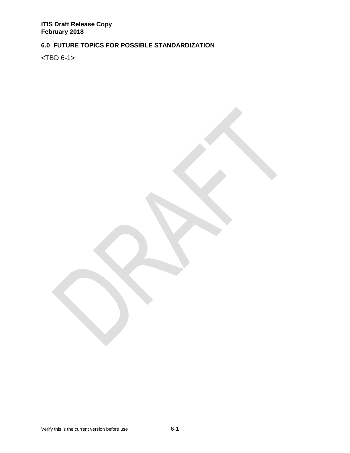# **6.0 FUTURE TOPICS FOR POSSIBLE STANDARDIZATION**

<TBD 6-1>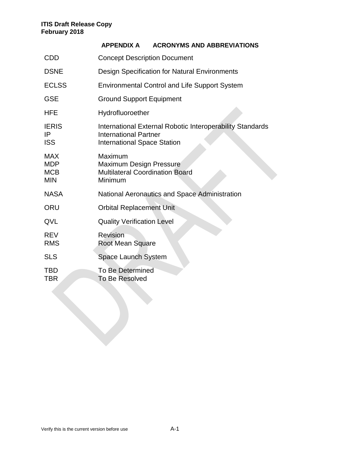|                                                      | <b>APPENDIX A</b><br><b>ACRONYMS AND ABBREVIATIONS</b>                                                                          |
|------------------------------------------------------|---------------------------------------------------------------------------------------------------------------------------------|
| <b>CDD</b>                                           | <b>Concept Description Document</b>                                                                                             |
| <b>DSNE</b>                                          | <b>Design Specification for Natural Environments</b>                                                                            |
| <b>ECLSS</b>                                         | <b>Environmental Control and Life Support System</b>                                                                            |
| <b>GSE</b>                                           | <b>Ground Support Equipment</b>                                                                                                 |
| <b>HFE</b>                                           | Hydrofluoroether                                                                                                                |
| <b>IERIS</b><br>IP<br><b>ISS</b>                     | International External Robotic Interoperability Standards<br><b>International Partner</b><br><b>International Space Station</b> |
| <b>MAX</b><br><b>MDP</b><br><b>MCB</b><br><b>MIN</b> | Maximum<br><b>Maximum Design Pressure</b><br><b>Multilateral Coordination Board</b><br>Minimum                                  |
| <b>NASA</b>                                          | <b>National Aeronautics and Space Administration</b>                                                                            |
| <b>ORU</b>                                           | <b>Orbital Replacement Unit</b>                                                                                                 |
| QVL                                                  | <b>Quality Verification Level</b>                                                                                               |
| <b>REV</b><br><b>RMS</b>                             | <b>Revision</b><br><b>Root Mean Square</b>                                                                                      |
| <b>SLS</b>                                           | Space Launch System                                                                                                             |
| TBD<br>TBR                                           | <b>To Be Determined</b><br><b>To Be Resolved</b>                                                                                |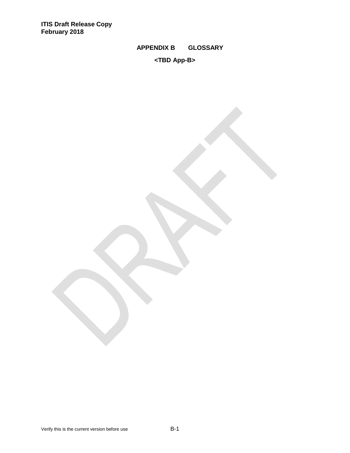# **APPENDIX B GLOSSARY**

# **<TBD App-B>**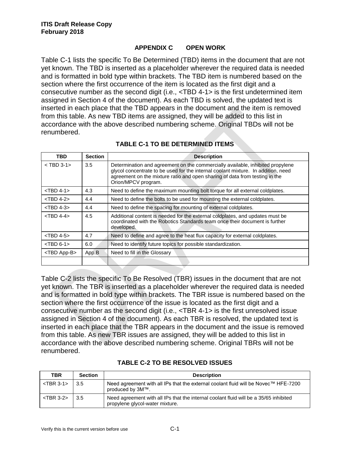## **APPENDIX C OPEN WORK**

Table C-1 lists the specific To Be Determined (TBD) items in the document that are not yet known. The TBD is inserted as a placeholder wherever the required data is needed and is formatted in bold type within brackets. The TBD item is numbered based on the section where the first occurrence of the item is located as the first digit and a consecutive number as the second digit (i.e., <TBD 4-1> is the first undetermined item assigned in Section 4 of the document). As each TBD is solved, the updated text is inserted in each place that the TBD appears in the document and the item is removed from this table. As new TBD items are assigned, they will be added to this list in accordance with the above described numbering scheme. Original TBDs will not be renumbered.

| <b>TBD</b>           | <b>Section</b> | <b>Description</b>                                                                                                                                                                                                                                                        |
|----------------------|----------------|---------------------------------------------------------------------------------------------------------------------------------------------------------------------------------------------------------------------------------------------------------------------------|
| $<$ TBD 3-1 $>$      | 3.5            | Determination and agreement on the commercially available, inhibited propylene<br>glycol concentrate to be used for the internal coolant mixture. In addition, need<br>agreement on the mixture ratio and open sharing of data from testing in the<br>Orion/MPCV program. |
| $<$ TBD 4-1 $>$      | 4.3            | Need to define the maximum mounting bolt torque for all external coldplates.                                                                                                                                                                                              |
| $<$ TBD 4-2 $>$      | 4.4            | Need to define the bolts to be used for mounting the external coldplates.                                                                                                                                                                                                 |
| $<$ TBD 4-3 $>$      | 4.4            | Need to define the spacing for mounting of external coldplates.                                                                                                                                                                                                           |
| $<$ TBD 4-4 $>$      | 4.5            | Additional content is needed for the external coldplates, and updates must be<br>coordinated with the Robotics Standards team once their document is further<br>developed.                                                                                                |
| $<$ TBD 4-5 $>$      | 4.7            | Need to define and agree to the heat flux capacity for external coldplates.                                                                                                                                                                                               |
| $<$ TBD 6-1 $>$      | 6.0            | Need to identify future topics for possible standardization.                                                                                                                                                                                                              |
| <tbd app-b=""></tbd> | App.B          | Need to fill in the Glossary                                                                                                                                                                                                                                              |
|                      |                |                                                                                                                                                                                                                                                                           |

# **TABLE C-1 TO BE DETERMINED ITEMS**

Table C-2 lists the specific To Be Resolved (TBR) issues in the document that are not yet known. The TBR is inserted as a placeholder wherever the required data is needed and is formatted in bold type within brackets. The TBR issue is numbered based on the section where the first occurrence of the issue is located as the first digit and a consecutive number as the second digit (i.e., <TBR 4-1> is the first unresolved issue assigned in Section 4 of the document). As each TBR is resolved, the updated text is inserted in each place that the TBR appears in the document and the issue is removed from this table. As new TBR issues are assigned, they will be added to this list in accordance with the above described numbering scheme. Original TBRs will not be renumbered.

| <b>TBR</b>      | <b>Section</b>    | <b>Description</b>                                                                                                       |
|-----------------|-------------------|--------------------------------------------------------------------------------------------------------------------------|
| $<$ TBR 3-1 $>$ | $\vert 3.5 \vert$ | Need agreement with all IPs that the external coolant fluid will be Novec™ HFE-7200<br>produced by 3M™.                  |
| $<$ TBR 3-2 $>$ | 3.5               | Need agreement with all IPs that the internal coolant fluid will be a 35/65 inhibited<br>propylene glycol-water mixture. |

# **TABLE C-2 TO BE RESOLVED ISSUES**